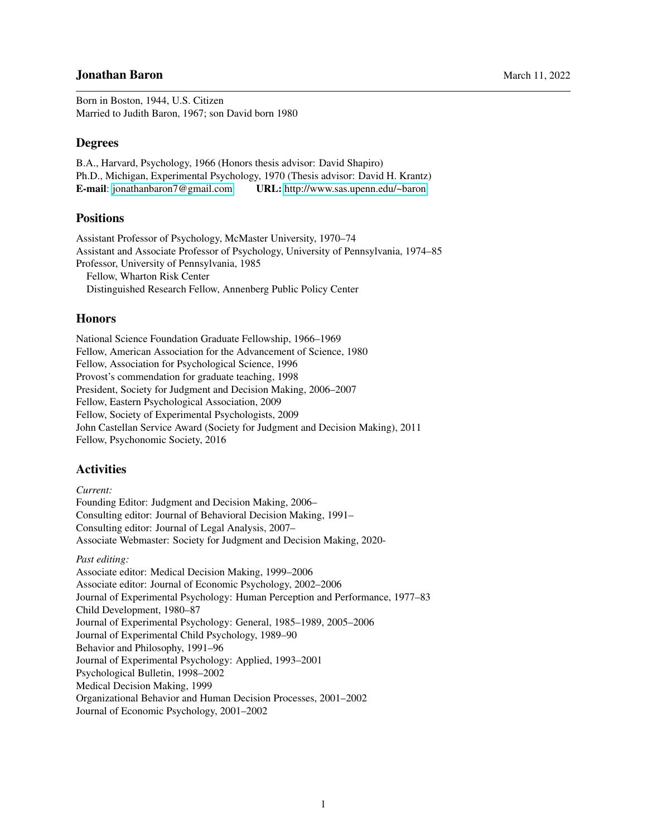# **Jonathan Baron** March 11, 2022

Born in Boston, 1944, U.S. Citizen Married to Judith Baron, 1967; son David born 1980

## **Degrees**

B.A., Harvard, Psychology, 1966 (Honors thesis advisor: David Shapiro) Ph.D., Michigan, Experimental Psychology, 1970 (Thesis advisor: David H. Krantz) E-mail: [jonathanbaron7@gmail.com](mailto:jonathanbaron7@gmail.com) URL: <http://www.sas.upenn.edu/~baron>

# Positions

Assistant Professor of Psychology, McMaster University, 1970–74 Assistant and Associate Professor of Psychology, University of Pennsylvania, 1974–85 Professor, University of Pennsylvania, 1985 Fellow, Wharton Risk Center Distinguished Research Fellow, Annenberg Public Policy Center

### Honors

National Science Foundation Graduate Fellowship, 1966–1969 Fellow, American Association for the Advancement of Science, 1980 Fellow, Association for Psychological Science, 1996 Provost's commendation for graduate teaching, 1998 President, Society for Judgment and Decision Making, 2006–2007 Fellow, Eastern Psychological Association, 2009 Fellow, Society of Experimental Psychologists, 2009 John Castellan Service Award (Society for Judgment and Decision Making), 2011 Fellow, Psychonomic Society, 2016

#### **Activities**

#### *Current:*

Founding Editor: Judgment and Decision Making, 2006– Consulting editor: Journal of Behavioral Decision Making, 1991– Consulting editor: Journal of Legal Analysis, 2007– Associate Webmaster: Society for Judgment and Decision Making, 2020-

#### *Past editing:*

Associate editor: Medical Decision Making, 1999–2006 Associate editor: Journal of Economic Psychology, 2002–2006 Journal of Experimental Psychology: Human Perception and Performance, 1977–83 Child Development, 1980–87 Journal of Experimental Psychology: General, 1985–1989, 2005–2006 Journal of Experimental Child Psychology, 1989–90 Behavior and Philosophy, 1991–96 Journal of Experimental Psychology: Applied, 1993–2001 Psychological Bulletin, 1998–2002 Medical Decision Making, 1999 Organizational Behavior and Human Decision Processes, 2001–2002 Journal of Economic Psychology, 2001–2002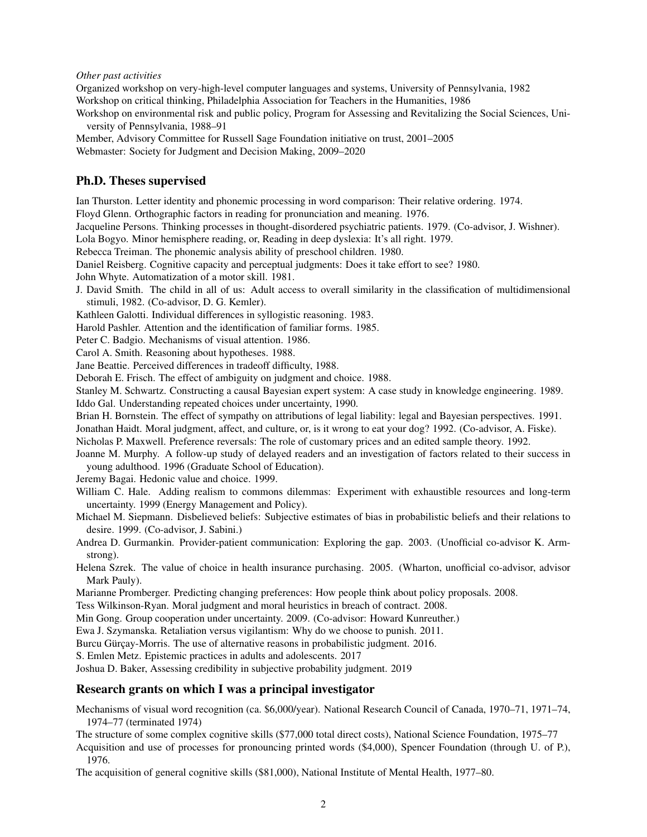#### *Other past activities*

Organized workshop on very-high-level computer languages and systems, University of Pennsylvania, 1982 Workshop on critical thinking, Philadelphia Association for Teachers in the Humanities, 1986

Workshop on environmental risk and public policy, Program for Assessing and Revitalizing the Social Sciences, University of Pennsylvania, 1988–91

Member, Advisory Committee for Russell Sage Foundation initiative on trust, 2001–2005 Webmaster: Society for Judgment and Decision Making, 2009–2020

### Ph.D. Theses supervised

Ian Thurston. Letter identity and phonemic processing in word comparison: Their relative ordering. 1974.

Floyd Glenn. Orthographic factors in reading for pronunciation and meaning. 1976.

Jacqueline Persons. Thinking processes in thought-disordered psychiatric patients. 1979. (Co-advisor, J. Wishner). Lola Bogyo. Minor hemisphere reading, or, Reading in deep dyslexia: It's all right. 1979.

Rebecca Treiman. The phonemic analysis ability of preschool children. 1980.

Daniel Reisberg. Cognitive capacity and perceptual judgments: Does it take effort to see? 1980.

John Whyte. Automatization of a motor skill. 1981.

J. David Smith. The child in all of us: Adult access to overall similarity in the classification of multidimensional stimuli, 1982. (Co-advisor, D. G. Kemler).

Kathleen Galotti. Individual differences in syllogistic reasoning. 1983.

Harold Pashler. Attention and the identification of familiar forms. 1985.

Peter C. Badgio. Mechanisms of visual attention. 1986.

Carol A. Smith. Reasoning about hypotheses. 1988.

Jane Beattie. Perceived differences in tradeoff difficulty, 1988.

Deborah E. Frisch. The effect of ambiguity on judgment and choice. 1988.

Stanley M. Schwartz. Constructing a causal Bayesian expert system: A case study in knowledge engineering. 1989. Iddo Gal. Understanding repeated choices under uncertainty, 1990.

Brian H. Bornstein. The effect of sympathy on attributions of legal liability: legal and Bayesian perspectives. 1991.

Jonathan Haidt. Moral judgment, affect, and culture, or, is it wrong to eat your dog? 1992. (Co-advisor, A. Fiske).

Nicholas P. Maxwell. Preference reversals: The role of customary prices and an edited sample theory. 1992.

Joanne M. Murphy. A follow-up study of delayed readers and an investigation of factors related to their success in young adulthood. 1996 (Graduate School of Education).

Jeremy Bagai. Hedonic value and choice. 1999.

William C. Hale. Adding realism to commons dilemmas: Experiment with exhaustible resources and long-term uncertainty. 1999 (Energy Management and Policy).

Michael M. Siepmann. Disbelieved beliefs: Subjective estimates of bias in probabilistic beliefs and their relations to desire. 1999. (Co-advisor, J. Sabini.)

Andrea D. Gurmankin. Provider-patient communication: Exploring the gap. 2003. (Unofficial co-advisor K. Armstrong).

Helena Szrek. The value of choice in health insurance purchasing. 2005. (Wharton, unofficial co-advisor, advisor Mark Pauly).

Marianne Promberger. Predicting changing preferences: How people think about policy proposals. 2008.

Tess Wilkinson-Ryan. Moral judgment and moral heuristics in breach of contract. 2008.

Min Gong. Group cooperation under uncertainty. 2009. (Co-advisor: Howard Kunreuther.)

Ewa J. Szymanska. Retaliation versus vigilantism: Why do we choose to punish. 2011.

Burcu Gürçay-Morris. The use of alternative reasons in probabilistic judgment. 2016.

S. Emlen Metz. Epistemic practices in adults and adolescents. 2017

Joshua D. Baker, Assessing credibility in subjective probability judgment. 2019

#### Research grants on which I was a principal investigator

Mechanisms of visual word recognition (ca. \$6,000/year). National Research Council of Canada, 1970–71, 1971–74, 1974–77 (terminated 1974)

The structure of some complex cognitive skills (\$77,000 total direct costs), National Science Foundation, 1975–77

Acquisition and use of processes for pronouncing printed words (\$4,000), Spencer Foundation (through U. of P.), 1976.

The acquisition of general cognitive skills (\$81,000), National Institute of Mental Health, 1977–80.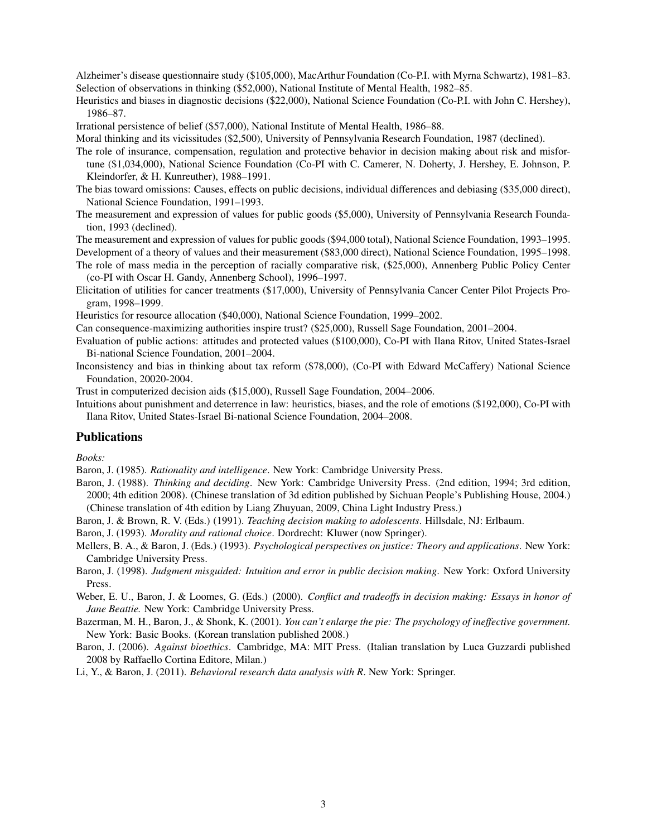Alzheimer's disease questionnaire study (\$105,000), MacArthur Foundation (Co-P.I. with Myrna Schwartz), 1981–83. Selection of observations in thinking (\$52,000), National Institute of Mental Health, 1982–85.

Heuristics and biases in diagnostic decisions (\$22,000), National Science Foundation (Co-P.I. with John C. Hershey), 1986–87.

Irrational persistence of belief (\$57,000), National Institute of Mental Health, 1986–88.

Moral thinking and its vicissitudes (\$2,500), University of Pennsylvania Research Foundation, 1987 (declined).

The role of insurance, compensation, regulation and protective behavior in decision making about risk and misfortune (\$1,034,000), National Science Foundation (Co-PI with C. Camerer, N. Doherty, J. Hershey, E. Johnson, P. Kleindorfer, & H. Kunreuther), 1988–1991.

- The bias toward omissions: Causes, effects on public decisions, individual differences and debiasing (\$35,000 direct), National Science Foundation, 1991–1993.
- The measurement and expression of values for public goods (\$5,000), University of Pennsylvania Research Foundation, 1993 (declined).

The measurement and expression of values for public goods (\$94,000 total), National Science Foundation, 1993–1995. Development of a theory of values and their measurement (\$83,000 direct), National Science Foundation, 1995–1998.

- The role of mass media in the perception of racially comparative risk, (\$25,000), Annenberg Public Policy Center (co-PI with Oscar H. Gandy, Annenberg School), 1996–1997.
- Elicitation of utilities for cancer treatments (\$17,000), University of Pennsylvania Cancer Center Pilot Projects Program, 1998–1999.

Heuristics for resource allocation (\$40,000), National Science Foundation, 1999–2002.

Can consequence-maximizing authorities inspire trust? (\$25,000), Russell Sage Foundation, 2001–2004.

- Evaluation of public actions: attitudes and protected values (\$100,000), Co-PI with Ilana Ritov, United States-Israel Bi-national Science Foundation, 2001–2004.
- Inconsistency and bias in thinking about tax reform (\$78,000), (Co-PI with Edward McCaffery) National Science Foundation, 20020-2004.

Trust in computerized decision aids (\$15,000), Russell Sage Foundation, 2004–2006.

Intuitions about punishment and deterrence in law: heuristics, biases, and the role of emotions (\$192,000), Co-PI with Ilana Ritov, United States-Israel Bi-national Science Foundation, 2004–2008.

#### Publications

*Books:*

Baron, J. (1985). *Rationality and intelligence*. New York: Cambridge University Press.

Baron, J. (1988). *Thinking and deciding*. New York: Cambridge University Press. (2nd edition, 1994; 3rd edition, 2000; 4th edition 2008). (Chinese translation of 3d edition published by Sichuan People's Publishing House, 2004.) (Chinese translation of 4th edition by Liang Zhuyuan, 2009, China Light Industry Press.)

Baron, J. & Brown, R. V. (Eds.) (1991). *Teaching decision making to adolescents*. Hillsdale, NJ: Erlbaum.

Baron, J. (1993). *Morality and rational choice*. Dordrecht: Kluwer (now Springer).

Mellers, B. A., & Baron, J. (Eds.) (1993). *Psychological perspectives on justice: Theory and applications*. New York: Cambridge University Press.

Baron, J. (1998). *Judgment misguided: Intuition and error in public decision making*. New York: Oxford University Press.

Weber, E. U., Baron, J. & Loomes, G. (Eds.) (2000). *Conflict and tradeoffs in decision making: Essays in honor of Jane Beattie.* New York: Cambridge University Press.

Bazerman, M. H., Baron, J., & Shonk, K. (2001). *You can't enlarge the pie: The psychology of ineffective government.* New York: Basic Books. (Korean translation published 2008.)

Baron, J. (2006). *Against bioethics*. Cambridge, MA: MIT Press. (Italian translation by Luca Guzzardi published 2008 by Raffaello Cortina Editore, Milan.)

Li, Y., & Baron, J. (2011). *Behavioral research data analysis with R*. New York: Springer.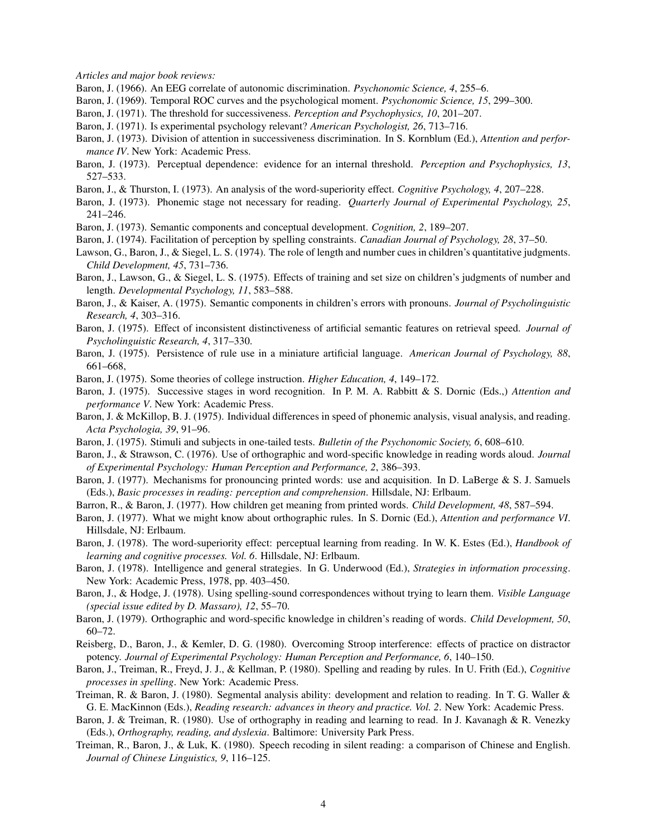*Articles and major book reviews:*

- Baron, J. (1966). An EEG correlate of autonomic discrimination. *Psychonomic Science, 4*, 255–6.
- Baron, J. (1969). Temporal ROC curves and the psychological moment. *Psychonomic Science, 15*, 299–300.
- Baron, J. (1971). The threshold for successiveness. *Perception and Psychophysics, 10*, 201–207.
- Baron, J. (1971). Is experimental psychology relevant? *American Psychologist, 26*, 713–716.
- Baron, J. (1973). Division of attention in successiveness discrimination. In S. Kornblum (Ed.), *Attention and performance IV*. New York: Academic Press.
- Baron, J. (1973). Perceptual dependence: evidence for an internal threshold. *Perception and Psychophysics, 13*, 527–533.
- Baron, J., & Thurston, I. (1973). An analysis of the word-superiority effect. *Cognitive Psychology, 4*, 207–228.
- Baron, J. (1973). Phonemic stage not necessary for reading. *Quarterly Journal of Experimental Psychology, 25*, 241–246.
- Baron, J. (1973). Semantic components and conceptual development. *Cognition, 2*, 189–207.
- Baron, J. (1974). Facilitation of perception by spelling constraints. *Canadian Journal of Psychology, 28*, 37–50.
- Lawson, G., Baron, J., & Siegel, L. S. (1974). The role of length and number cues in children's quantitative judgments. *Child Development, 45*, 731–736.
- Baron, J., Lawson, G., & Siegel, L. S. (1975). Effects of training and set size on children's judgments of number and length. *Developmental Psychology, 11*, 583–588.
- Baron, J., & Kaiser, A. (1975). Semantic components in children's errors with pronouns. *Journal of Psycholinguistic Research, 4*, 303–316.
- Baron, J. (1975). Effect of inconsistent distinctiveness of artificial semantic features on retrieval speed. *Journal of Psycholinguistic Research, 4*, 317–330.
- Baron, J. (1975). Persistence of rule use in a miniature artificial language. *American Journal of Psychology, 88*, 661–668,
- Baron, J. (1975). Some theories of college instruction. *Higher Education, 4*, 149–172.
- Baron, J. (1975). Successive stages in word recognition. In P. M. A. Rabbitt & S. Dornic (Eds.,) *Attention and performance V*. New York: Academic Press.
- Baron, J. & McKillop, B. J. (1975). Individual differences in speed of phonemic analysis, visual analysis, and reading. *Acta Psychologia, 39*, 91–96.
- Baron, J. (1975). Stimuli and subjects in one-tailed tests. *Bulletin of the Psychonomic Society, 6*, 608–610.
- Baron, J., & Strawson, C. (1976). Use of orthographic and word-specific knowledge in reading words aloud. *Journal of Experimental Psychology: Human Perception and Performance, 2*, 386–393.
- Baron, J. (1977). Mechanisms for pronouncing printed words: use and acquisition. In D. LaBerge & S. J. Samuels (Eds.), *Basic processes in reading: perception and comprehension*. Hillsdale, NJ: Erlbaum.
- Barron, R., & Baron, J. (1977). How children get meaning from printed words. *Child Development, 48*, 587–594.
- Baron, J. (1977). What we might know about orthographic rules. In S. Dornic (Ed.), *Attention and performance VI*. Hillsdale, NJ: Erlbaum.
- Baron, J. (1978). The word-superiority effect: perceptual learning from reading. In W. K. Estes (Ed.), *Handbook of learning and cognitive processes. Vol. 6*. Hillsdale, NJ: Erlbaum.
- Baron, J. (1978). Intelligence and general strategies. In G. Underwood (Ed.), *Strategies in information processing*. New York: Academic Press, 1978, pp. 403–450.
- Baron, J., & Hodge, J. (1978). Using spelling-sound correspondences without trying to learn them. *Visible Language (special issue edited by D. Massaro), 12*, 55–70.
- Baron, J. (1979). Orthographic and word-specific knowledge in children's reading of words. *Child Development, 50*, 60–72.
- Reisberg, D., Baron, J., & Kemler, D. G. (1980). Overcoming Stroop interference: effects of practice on distractor potency. *Journal of Experimental Psychology: Human Perception and Performance, 6*, 140–150.
- Baron, J., Treiman, R., Freyd, J. J., & Kellman, P. (1980). Spelling and reading by rules. In U. Frith (Ed.), *Cognitive processes in spelling*. New York: Academic Press.
- Treiman, R. & Baron, J. (1980). Segmental analysis ability: development and relation to reading. In T. G. Waller & G. E. MacKinnon (Eds.), *Reading research: advances in theory and practice. Vol. 2*. New York: Academic Press.
- Baron, J. & Treiman, R. (1980). Use of orthography in reading and learning to read. In J. Kavanagh & R. Venezky (Eds.), *Orthography, reading, and dyslexia*. Baltimore: University Park Press.
- Treiman, R., Baron, J., & Luk, K. (1980). Speech recoding in silent reading: a comparison of Chinese and English. *Journal of Chinese Linguistics, 9*, 116–125.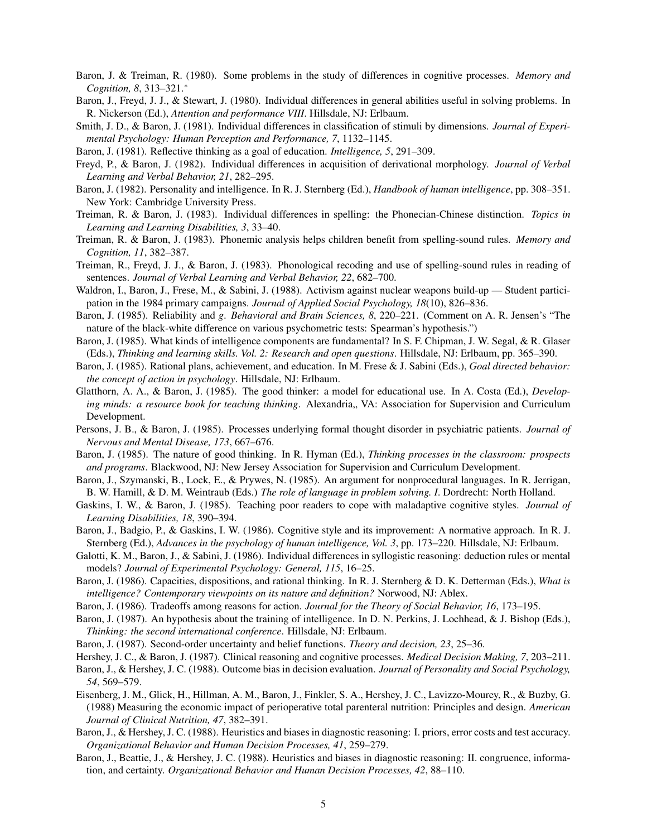- Baron, J. & Treiman, R. (1980). Some problems in the study of differences in cognitive processes. *Memory and Cognition, 8*, 313–321.<sup>∗</sup>
- Baron, J., Freyd, J. J., & Stewart, J. (1980). Individual differences in general abilities useful in solving problems. In R. Nickerson (Ed.), *Attention and performance VIII*. Hillsdale, NJ: Erlbaum.
- Smith, J. D., & Baron, J. (1981). Individual differences in classification of stimuli by dimensions. *Journal of Experimental Psychology: Human Perception and Performance, 7*, 1132–1145.
- Baron, J. (1981). Reflective thinking as a goal of education. *Intelligence, 5*, 291–309.
- Freyd, P., & Baron, J. (1982). Individual differences in acquisition of derivational morphology. *Journal of Verbal Learning and Verbal Behavior, 21*, 282–295.
- Baron, J. (1982). Personality and intelligence. In R. J. Sternberg (Ed.), *Handbook of human intelligence*, pp. 308–351. New York: Cambridge University Press.
- Treiman, R. & Baron, J. (1983). Individual differences in spelling: the Phonecian-Chinese distinction. *Topics in Learning and Learning Disabilities, 3*, 33–40.
- Treiman, R. & Baron, J. (1983). Phonemic analysis helps children benefit from spelling-sound rules. *Memory and Cognition, 11*, 382–387.
- Treiman, R., Freyd, J. J., & Baron, J. (1983). Phonological recoding and use of spelling-sound rules in reading of sentences. *Journal of Verbal Learning and Verbal Behavior, 22*, 682–700.
- Waldron, I., Baron, J., Frese, M., & Sabini, J. (1988). Activism against nuclear weapons build-up Student participation in the 1984 primary campaigns. *Journal of Applied Social Psychology, 18*(10), 826–836.
- Baron, J. (1985). Reliability and *g*. *Behavioral and Brain Sciences, 8*, 220–221. (Comment on A. R. Jensen's "The nature of the black-white difference on various psychometric tests: Spearman's hypothesis.")
- Baron, J. (1985). What kinds of intelligence components are fundamental? In S. F. Chipman, J. W. Segal, & R. Glaser (Eds.), *Thinking and learning skills. Vol. 2: Research and open questions*. Hillsdale, NJ: Erlbaum, pp. 365–390.
- Baron, J. (1985). Rational plans, achievement, and education. In M. Frese & J. Sabini (Eds.), *Goal directed behavior: the concept of action in psychology*. Hillsdale, NJ: Erlbaum.
- Glatthorn, A. A., & Baron, J. (1985). The good thinker: a model for educational use. In A. Costa (Ed.), *Developing minds: a resource book for teaching thinking.* Alexandria, VA: Association for Supervision and Curriculum Development.
- Persons, J. B., & Baron, J. (1985). Processes underlying formal thought disorder in psychiatric patients. *Journal of Nervous and Mental Disease, 173*, 667–676.
- Baron, J. (1985). The nature of good thinking. In R. Hyman (Ed.), *Thinking processes in the classroom: prospects and programs*. Blackwood, NJ: New Jersey Association for Supervision and Curriculum Development.
- Baron, J., Szymanski, B., Lock, E., & Prywes, N. (1985). An argument for nonprocedural languages. In R. Jerrigan, B. W. Hamill, & D. M. Weintraub (Eds.) *The role of language in problem solving. I*. Dordrecht: North Holland.
- Gaskins, I. W., & Baron, J. (1985). Teaching poor readers to cope with maladaptive cognitive styles. *Journal of Learning Disabilities, 18*, 390–394.
- Baron, J., Badgio, P., & Gaskins, I. W. (1986). Cognitive style and its improvement: A normative approach. In R. J. Sternberg (Ed.), *Advances in the psychology of human intelligence, Vol. 3*, pp. 173–220. Hillsdale, NJ: Erlbaum.
- Galotti, K. M., Baron, J., & Sabini, J. (1986). Individual differences in syllogistic reasoning: deduction rules or mental models? *Journal of Experimental Psychology: General, 115*, 16–25.
- Baron, J. (1986). Capacities, dispositions, and rational thinking. In R. J. Sternberg & D. K. Detterman (Eds.), *What is intelligence? Contemporary viewpoints on its nature and definition?* Norwood, NJ: Ablex.
- Baron, J. (1986). Tradeoffs among reasons for action. *Journal for the Theory of Social Behavior, 16*, 173–195.
- Baron, J. (1987). An hypothesis about the training of intelligence. In D. N. Perkins, J. Lochhead, & J. Bishop (Eds.), *Thinking: the second international conference*. Hillsdale, NJ: Erlbaum.
- Baron, J. (1987). Second-order uncertainty and belief functions. *Theory and decision, 23*, 25–36.
- Hershey, J. C., & Baron, J. (1987). Clinical reasoning and cognitive processes. *Medical Decision Making, 7*, 203–211.
- Baron, J., & Hershey, J. C. (1988). Outcome bias in decision evaluation. *Journal of Personality and Social Psychology, 54*, 569–579.
- Eisenberg, J. M., Glick, H., Hillman, A. M., Baron, J., Finkler, S. A., Hershey, J. C., Lavizzo-Mourey, R., & Buzby, G. (1988) Measuring the economic impact of perioperative total parenteral nutrition: Principles and design. *American Journal of Clinical Nutrition, 47*, 382–391.
- Baron, J., & Hershey, J. C. (1988). Heuristics and biases in diagnostic reasoning: I. priors, error costs and test accuracy. *Organizational Behavior and Human Decision Processes, 41*, 259–279.
- Baron, J., Beattie, J., & Hershey, J. C. (1988). Heuristics and biases in diagnostic reasoning: II. congruence, information, and certainty. *Organizational Behavior and Human Decision Processes, 42*, 88–110.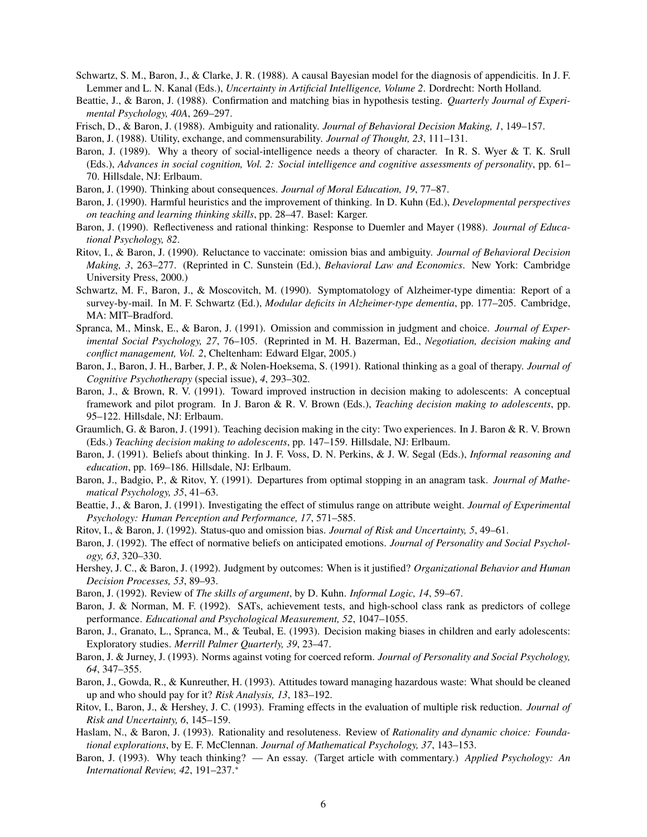- Schwartz, S. M., Baron, J., & Clarke, J. R. (1988). A causal Bayesian model for the diagnosis of appendicitis. In J. F. Lemmer and L. N. Kanal (Eds.), *Uncertainty in Artificial Intelligence, Volume 2*. Dordrecht: North Holland.
- Beattie, J., & Baron, J. (1988). Confirmation and matching bias in hypothesis testing. *Quarterly Journal of Experimental Psychology, 40A*, 269–297.
- Frisch, D., & Baron, J. (1988). Ambiguity and rationality. *Journal of Behavioral Decision Making, 1*, 149–157.

Baron, J. (1988). Utility, exchange, and commensurability. *Journal of Thought, 23*, 111–131.

- Baron, J. (1989). Why a theory of social-intelligence needs a theory of character. In R. S. Wyer & T. K. Srull (Eds.), *Advances in social cognition, Vol. 2: Social intelligence and cognitive assessments of personality*, pp. 61– 70. Hillsdale, NJ: Erlbaum.
- Baron, J. (1990). Thinking about consequences. *Journal of Moral Education, 19*, 77–87.
- Baron, J. (1990). Harmful heuristics and the improvement of thinking. In D. Kuhn (Ed.), *Developmental perspectives on teaching and learning thinking skills*, pp. 28–47. Basel: Karger.
- Baron, J. (1990). Reflectiveness and rational thinking: Response to Duemler and Mayer (1988). *Journal of Educational Psychology, 82*.
- Ritov, I., & Baron, J. (1990). Reluctance to vaccinate: omission bias and ambiguity. *Journal of Behavioral Decision Making, 3*, 263–277. (Reprinted in C. Sunstein (Ed.), *Behavioral Law and Economics*. New York: Cambridge University Press, 2000.)
- Schwartz, M. F., Baron, J., & Moscovitch, M. (1990). Symptomatology of Alzheimer-type dimentia: Report of a survey-by-mail. In M. F. Schwartz (Ed.), *Modular deficits in Alzheimer-type dementia*, pp. 177–205. Cambridge, MA: MIT–Bradford.
- Spranca, M., Minsk, E., & Baron, J. (1991). Omission and commission in judgment and choice. *Journal of Experimental Social Psychology, 27*, 76–105. (Reprinted in M. H. Bazerman, Ed., *Negotiation, decision making and conflict management, Vol. 2*, Cheltenham: Edward Elgar, 2005.)
- Baron, J., Baron, J. H., Barber, J. P., & Nolen-Hoeksema, S. (1991). Rational thinking as a goal of therapy. *Journal of Cognitive Psychotherapy* (special issue), *4*, 293–302.
- Baron, J., & Brown, R. V. (1991). Toward improved instruction in decision making to adolescents: A conceptual framework and pilot program. In J. Baron & R. V. Brown (Eds.), *Teaching decision making to adolescents*, pp. 95–122. Hillsdale, NJ: Erlbaum.
- Graumlich, G. & Baron, J. (1991). Teaching decision making in the city: Two experiences. In J. Baron & R. V. Brown (Eds.) *Teaching decision making to adolescents*, pp. 147–159. Hillsdale, NJ: Erlbaum.
- Baron, J. (1991). Beliefs about thinking. In J. F. Voss, D. N. Perkins, & J. W. Segal (Eds.), *Informal reasoning and education*, pp. 169–186. Hillsdale, NJ: Erlbaum.
- Baron, J., Badgio, P., & Ritov, Y. (1991). Departures from optimal stopping in an anagram task. *Journal of Mathematical Psychology, 35*, 41–63.
- Beattie, J., & Baron, J. (1991). Investigating the effect of stimulus range on attribute weight. *Journal of Experimental Psychology: Human Perception and Performance, 17*, 571–585.
- Ritov, I., & Baron, J. (1992). Status-quo and omission bias. *Journal of Risk and Uncertainty, 5*, 49–61.
- Baron, J. (1992). The effect of normative beliefs on anticipated emotions. *Journal of Personality and Social Psychology, 63*, 320–330.
- Hershey, J. C., & Baron, J. (1992). Judgment by outcomes: When is it justified? *Organizational Behavior and Human Decision Processes, 53*, 89–93.
- Baron, J. (1992). Review of *The skills of argument*, by D. Kuhn. *Informal Logic, 14*, 59–67.
- Baron, J. & Norman, M. F. (1992). SATs, achievement tests, and high-school class rank as predictors of college performance. *Educational and Psychological Measurement, 52*, 1047–1055.
- Baron, J., Granato, L., Spranca, M., & Teubal, E. (1993). Decision making biases in children and early adolescents: Exploratory studies. *Merrill Palmer Quarterly, 39*, 23–47.
- Baron, J. & Jurney, J. (1993). Norms against voting for coerced reform. *Journal of Personality and Social Psychology, 64*, 347–355.
- Baron, J., Gowda, R., & Kunreuther, H. (1993). Attitudes toward managing hazardous waste: What should be cleaned up and who should pay for it? *Risk Analysis, 13*, 183–192.
- Ritov, I., Baron, J., & Hershey, J. C. (1993). Framing effects in the evaluation of multiple risk reduction. *Journal of Risk and Uncertainty, 6*, 145–159.
- Haslam, N., & Baron, J. (1993). Rationality and resoluteness. Review of *Rationality and dynamic choice: Foundational explorations*, by E. F. McClennan. *Journal of Mathematical Psychology, 37*, 143–153.
- Baron, J. (1993). Why teach thinking? An essay. (Target article with commentary.) *Applied Psychology: An International Review, 42*, 191–237.<sup>∗</sup>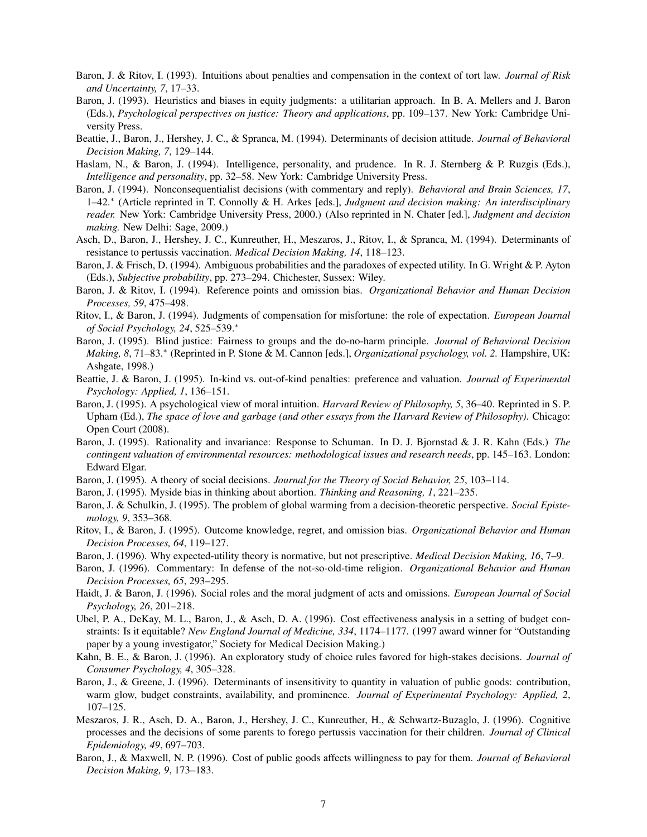- Baron, J. & Ritov, I. (1993). Intuitions about penalties and compensation in the context of tort law. *Journal of Risk and Uncertainty, 7*, 17–33.
- Baron, J. (1993). Heuristics and biases in equity judgments: a utilitarian approach. In B. A. Mellers and J. Baron (Eds.), *Psychological perspectives on justice: Theory and applications*, pp. 109–137. New York: Cambridge University Press.
- Beattie, J., Baron, J., Hershey, J. C., & Spranca, M. (1994). Determinants of decision attitude. *Journal of Behavioral Decision Making, 7*, 129–144.
- Haslam, N., & Baron, J. (1994). Intelligence, personality, and prudence. In R. J. Sternberg & P. Ruzgis (Eds.), *Intelligence and personality*, pp. 32–58. New York: Cambridge University Press.
- Baron, J. (1994). Nonconsequentialist decisions (with commentary and reply). *Behavioral and Brain Sciences, 17*, 1–42.<sup>∗</sup> (Article reprinted in T. Connolly & H. Arkes [eds.], *Judgment and decision making: An interdisciplinary reader.* New York: Cambridge University Press, 2000.) (Also reprinted in N. Chater [ed.], *Judgment and decision making.* New Delhi: Sage, 2009.)
- Asch, D., Baron, J., Hershey, J. C., Kunreuther, H., Meszaros, J., Ritov, I., & Spranca, M. (1994). Determinants of resistance to pertussis vaccination. *Medical Decision Making, 14*, 118–123.
- Baron, J. & Frisch, D. (1994). Ambiguous probabilities and the paradoxes of expected utility. In G. Wright & P. Ayton (Eds.), *Subjective probability*, pp. 273–294. Chichester, Sussex: Wiley.
- Baron, J. & Ritov, I. (1994). Reference points and omission bias. *Organizational Behavior and Human Decision Processes, 59*, 475–498.
- Ritov, I., & Baron, J. (1994). Judgments of compensation for misfortune: the role of expectation. *European Journal of Social Psychology, 24*, 525–539.<sup>∗</sup>
- Baron, J. (1995). Blind justice: Fairness to groups and the do-no-harm principle. *Journal of Behavioral Decision Making, 8*, 71–83.<sup>∗</sup> (Reprinted in P. Stone & M. Cannon [eds.], *Organizational psychology, vol. 2.* Hampshire, UK: Ashgate, 1998.)
- Beattie, J. & Baron, J. (1995). In-kind vs. out-of-kind penalties: preference and valuation. *Journal of Experimental Psychology: Applied, 1*, 136–151.
- Baron, J. (1995). A psychological view of moral intuition. *Harvard Review of Philosophy, 5*, 36–40. Reprinted in S. P. Upham (Ed.), *The space of love and garbage (and other essays from the Harvard Review of Philosophy)*. Chicago: Open Court (2008).
- Baron, J. (1995). Rationality and invariance: Response to Schuman. In D. J. Bjornstad & J. R. Kahn (Eds.) *The contingent valuation of environmental resources: methodological issues and research needs*, pp. 145–163. London: Edward Elgar.
- Baron, J. (1995). A theory of social decisions. *Journal for the Theory of Social Behavior, 25*, 103–114.
- Baron, J. (1995). Myside bias in thinking about abortion. *Thinking and Reasoning, 1*, 221–235.
- Baron, J. & Schulkin, J. (1995). The problem of global warming from a decision-theoretic perspective. *Social Epistemology, 9*, 353–368.
- Ritov, I., & Baron, J. (1995). Outcome knowledge, regret, and omission bias. *Organizational Behavior and Human Decision Processes, 64*, 119–127.
- Baron, J. (1996). Why expected-utility theory is normative, but not prescriptive. *Medical Decision Making, 16*, 7–9.
- Baron, J. (1996). Commentary: In defense of the not-so-old-time religion. *Organizational Behavior and Human Decision Processes, 65*, 293–295.
- Haidt, J. & Baron, J. (1996). Social roles and the moral judgment of acts and omissions. *European Journal of Social Psychology, 26*, 201–218.
- Ubel, P. A., DeKay, M. L., Baron, J., & Asch, D. A. (1996). Cost effectiveness analysis in a setting of budget constraints: Is it equitable? *New England Journal of Medicine, 334*, 1174–1177. (1997 award winner for "Outstanding paper by a young investigator," Society for Medical Decision Making.)
- Kahn, B. E., & Baron, J. (1996). An exploratory study of choice rules favored for high-stakes decisions. *Journal of Consumer Psychology, 4*, 305–328.
- Baron, J., & Greene, J. (1996). Determinants of insensitivity to quantity in valuation of public goods: contribution, warm glow, budget constraints, availability, and prominence. *Journal of Experimental Psychology: Applied, 2*, 107–125.
- Meszaros, J. R., Asch, D. A., Baron, J., Hershey, J. C., Kunreuther, H., & Schwartz-Buzaglo, J. (1996). Cognitive processes and the decisions of some parents to forego pertussis vaccination for their children. *Journal of Clinical Epidemiology, 49*, 697–703.
- Baron, J., & Maxwell, N. P. (1996). Cost of public goods affects willingness to pay for them. *Journal of Behavioral Decision Making, 9*, 173–183.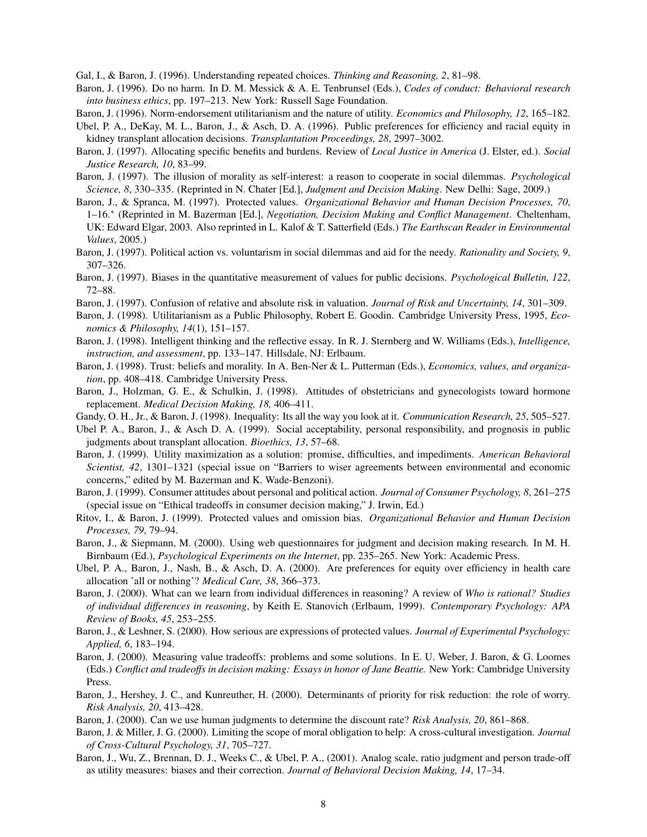Gal, I., & Baron, J. (1996). Understanding repeated choices. *Thinking and Reasoning, 2*, 81–98.

- Baron, J. (1996). Do no harm. In D. M. Messick & A. E. Tenbrunsel (Eds.), *Codes of conduct: Behavioral research into business ethics*, pp. 197–213. New York: Russell Sage Foundation.
- Baron, J. (1996). Norm-endorsement utilitarianism and the nature of utility. *Economics and Philosophy, 12*, 165–182.
- Ubel, P. A., DeKay, M. L., Baron, J., & Asch, D. A. (1996). Public preferences for efficiency and racial equity in kidney transplant allocation decisions. *Transplantation Proceedings, 28*, 2997–3002.
- Baron, J. (1997). Allocating specific benefits and burdens. Review of *Local Justice in America* (J. Elster, ed.). *Social Justice Research, 10*, 83–99.
- Baron, J. (1997). The illusion of morality as self-interest: a reason to cooperate in social dilemmas. *Psychological Science, 8*, 330–335. (Reprinted in N. Chater [Ed.], *Judgment and Decision Making*. New Delhi: Sage, 2009.)
- Baron, J., & Spranca, M. (1997). Protected values. *Organizational Behavior and Human Decision Processes, 70*, 1–16.<sup>∗</sup> (Reprinted in M. Bazerman [Ed.], *Negotiation, Decision Making and Conflict Management*. Cheltenham, UK: Edward Elgar, 2003. Also reprinted in L. Kalof & T. Satterfield (Eds.) *The Earthscan Reader in Environmental Values*, 2005.)
- Baron, J. (1997). Political action vs. voluntarism in social dilemmas and aid for the needy. *Rationality and Society, 9*, 307–326.
- Baron, J. (1997). Biases in the quantitative measurement of values for public decisions. *Psychological Bulletin, 122*, 72–88.
- Baron, J. (1997). Confusion of relative and absolute risk in valuation. *Journal of Risk and Uncertainty, 14*, 301–309.
- Baron, J. (1998). Utilitarianism as a Public Philosophy, Robert E. Goodin. Cambridge University Press, 1995, *Economics & Philosophy, 14*(1), 151–157.
- Baron, J. (1998). Intelligent thinking and the reflective essay. In R. J. Sternberg and W. Williams (Eds.), *Intelligence, instruction, and assessment*, pp. 133–147. Hillsdale, NJ: Erlbaum.
- Baron, J. (1998). Trust: beliefs and morality. In A. Ben-Ner & L. Putterman (Eds.), *Economics, values, and organization*, pp. 408–418. Cambridge University Press.
- Baron, J., Holzman, G. E., & Schulkin, J. (1998). Attitudes of obstetricians and gynecologists toward hormone replacement. *Medical Decision Making, 18,* 406–411.
- Gandy, O. H., Jr., & Baron, J. (1998). Inequality: Its all the way you look at it. *Communication Research, 25*, 505–527.
- Ubel P. A., Baron, J., & Asch D. A. (1999). Social acceptability, personal responsibility, and prognosis in public judgments about transplant allocation. *Bioethics, 13*, 57–68.
- Baron, J. (1999). Utility maximization as a solution: promise, difficulties, and impediments. *American Behavioral Scientist, 42*, 1301–1321 (special issue on "Barriers to wiser agreements between environmental and economic concerns," edited by M. Bazerman and K. Wade-Benzoni).
- Baron, J. (1999). Consumer attitudes about personal and political action. *Journal of Consumer Psychology, 8*, 261–275 (special issue on "Ethical tradeoffs in consumer decision making," J. Irwin, Ed.)
- Ritov, I., & Baron, J. (1999). Protected values and omission bias. *Organizational Behavior and Human Decision Processes, 79*, 79–94.
- Baron, J., & Siepmann, M. (2000). Using web questionnaires for judgment and decision making research. In M. H. Birnbaum (Ed.), *Psychological Experiments on the Internet*, pp. 235–265. New York: Academic Press.
- Ubel, P. A., Baron, J., Nash, B., & Asch, D. A. (2000). Are preferences for equity over efficiency in health care allocation 'all or nothing'? *Medical Care, 38*, 366–373.
- Baron, J. (2000). What can we learn from individual differences in reasoning? A review of *Who is rational? Studies of individual differences in reasoning*, by Keith E. Stanovich (Erlbaum, 1999). *Contemporary Psychology: APA Review of Books, 45*, 253–255.
- Baron, J., & Leshner, S. (2000). How serious are expressions of protected values. *Journal of Experimental Psychology: Applied, 6*, 183–194.
- Baron, J. (2000). Measuring value tradeoffs: problems and some solutions. In E. U. Weber, J. Baron, & G. Loomes (Eds.) *Conflict and tradeoffs in decision making: Essays in honor of Jane Beattie.* New York: Cambridge University Press.
- Baron, J., Hershey, J. C., and Kunreuther, H. (2000). Determinants of priority for risk reduction: the role of worry. *Risk Analysis, 20*, 413–428.
- Baron, J. (2000). Can we use human judgments to determine the discount rate? *Risk Analysis, 20*, 861–868.
- Baron, J. & Miller, J. G. (2000). Limiting the scope of moral obligation to help: A cross-cultural investigation. *Journal of Cross-Cultural Psychology, 31*, 705–727.
- Baron, J., Wu, Z., Brennan, D. J., Weeks C., & Ubel, P. A., (2001). Analog scale, ratio judgment and person trade-off as utility measures: biases and their correction. *Journal of Behavioral Decision Making, 14*, 17–34.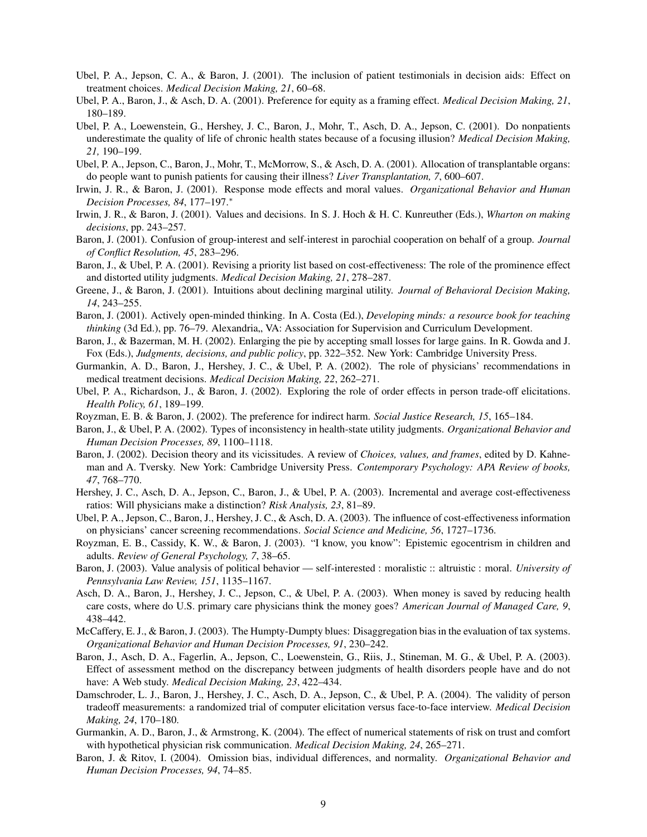- Ubel, P. A., Jepson, C. A., & Baron, J. (2001). The inclusion of patient testimonials in decision aids: Effect on treatment choices. *Medical Decision Making, 21*, 60–68.
- Ubel, P. A., Baron, J., & Asch, D. A. (2001). Preference for equity as a framing effect. *Medical Decision Making, 21*, 180–189.
- Ubel, P. A., Loewenstein, G., Hershey, J. C., Baron, J., Mohr, T., Asch, D. A., Jepson, C. (2001). Do nonpatients underestimate the quality of life of chronic health states because of a focusing illusion? *Medical Decision Making, 21,* 190–199.
- Ubel, P. A., Jepson, C., Baron, J., Mohr, T., McMorrow, S., & Asch, D. A. (2001). Allocation of transplantable organs: do people want to punish patients for causing their illness? *Liver Transplantation, 7*, 600–607.
- Irwin, J. R., & Baron, J. (2001). Response mode effects and moral values. *Organizational Behavior and Human Decision Processes, 84*, 177–197.<sup>∗</sup>
- Irwin, J. R., & Baron, J. (2001). Values and decisions. In S. J. Hoch & H. C. Kunreuther (Eds.), *Wharton on making decisions*, pp. 243–257.
- Baron, J. (2001). Confusion of group-interest and self-interest in parochial cooperation on behalf of a group. *Journal of Conflict Resolution, 45*, 283–296.
- Baron, J., & Ubel, P. A. (2001). Revising a priority list based on cost-effectiveness: The role of the prominence effect and distorted utility judgments. *Medical Decision Making, 21*, 278–287.
- Greene, J., & Baron, J. (2001). Intuitions about declining marginal utility. *Journal of Behavioral Decision Making, 14*, 243–255.
- Baron, J. (2001). Actively open-minded thinking. In A. Costa (Ed.), *Developing minds: a resource book for teaching thinking* (3d Ed.), pp. 76–79. Alexandria, VA: Association for Supervision and Curriculum Development.
- Baron, J., & Bazerman, M. H. (2002). Enlarging the pie by accepting small losses for large gains. In R. Gowda and J. Fox (Eds.), *Judgments, decisions, and public policy*, pp. 322–352. New York: Cambridge University Press.
- Gurmankin, A. D., Baron, J., Hershey, J. C., & Ubel, P. A. (2002). The role of physicians' recommendations in medical treatment decisions. *Medical Decision Making, 22*, 262–271.
- Ubel, P. A., Richardson, J., & Baron, J. (2002). Exploring the role of order effects in person trade-off elicitations. *Health Policy, 61*, 189–199.
- Royzman, E. B. & Baron, J. (2002). The preference for indirect harm. *Social Justice Research, 15*, 165–184.
- Baron, J., & Ubel, P. A. (2002). Types of inconsistency in health-state utility judgments. *Organizational Behavior and Human Decision Processes, 89*, 1100–1118.
- Baron, J. (2002). Decision theory and its vicissitudes. A review of *Choices, values, and frames*, edited by D. Kahneman and A. Tversky. New York: Cambridge University Press. *Contemporary Psychology: APA Review of books, 47*, 768–770.
- Hershey, J. C., Asch, D. A., Jepson, C., Baron, J., & Ubel, P. A. (2003). Incremental and average cost-effectiveness ratios: Will physicians make a distinction? *Risk Analysis, 23*, 81–89.
- Ubel, P. A., Jepson, C., Baron, J., Hershey, J. C., & Asch, D. A. (2003). The influence of cost-effectiveness information on physicians' cancer screening recommendations. *Social Science and Medicine, 56*, 1727–1736.
- Royzman, E. B., Cassidy, K. W., & Baron, J. (2003). "I know, you know": Epistemic egocentrism in children and adults. *Review of General Psychology, 7*, 38–65.
- Baron, J. (2003). Value analysis of political behavior self-interested : moralistic :: altruistic : moral. *University of Pennsylvania Law Review, 151*, 1135–1167.
- Asch, D. A., Baron, J., Hershey, J. C., Jepson, C., & Ubel, P. A. (2003). When money is saved by reducing health care costs, where do U.S. primary care physicians think the money goes? *American Journal of Managed Care, 9*, 438–442.
- McCaffery, E. J., & Baron, J. (2003). The Humpty-Dumpty blues: Disaggregation bias in the evaluation of tax systems. *Organizational Behavior and Human Decision Processes, 91*, 230–242.
- Baron, J., Asch, D. A., Fagerlin, A., Jepson, C., Loewenstein, G., Riis, J., Stineman, M. G., & Ubel, P. A. (2003). Effect of assessment method on the discrepancy between judgments of health disorders people have and do not have: A Web study. *Medical Decision Making, 23*, 422–434.
- Damschroder, L. J., Baron, J., Hershey, J. C., Asch, D. A., Jepson, C., & Ubel, P. A. (2004). The validity of person tradeoff measurements: a randomized trial of computer elicitation versus face-to-face interview. *Medical Decision Making, 24*, 170–180.
- Gurmankin, A. D., Baron, J., & Armstrong, K. (2004). The effect of numerical statements of risk on trust and comfort with hypothetical physician risk communication. *Medical Decision Making, 24*, 265–271.
- Baron, J. & Ritov, I. (2004). Omission bias, individual differences, and normality. *Organizational Behavior and Human Decision Processes, 94*, 74–85.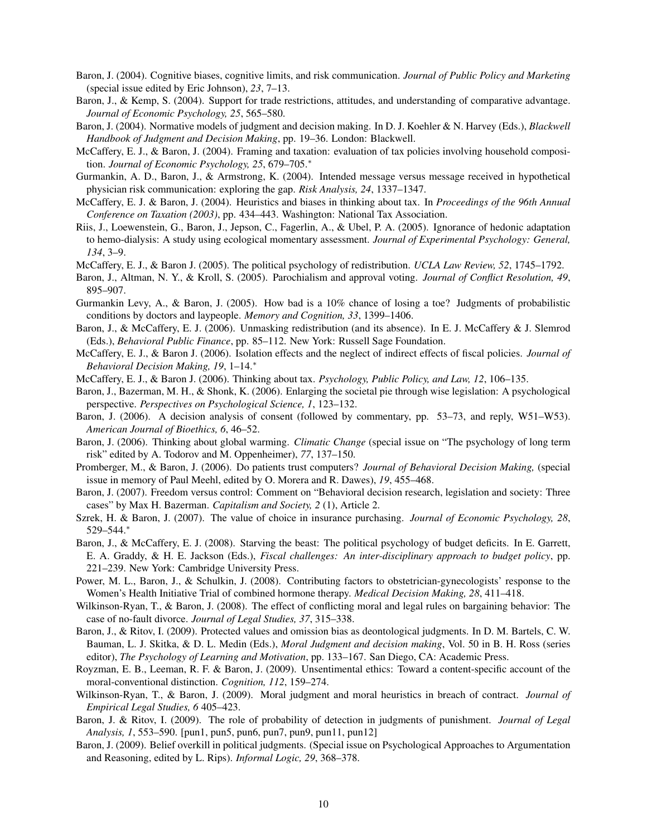- Baron, J. (2004). Cognitive biases, cognitive limits, and risk communication. *Journal of Public Policy and Marketing* (special issue edited by Eric Johnson), *23*, 7–13.
- Baron, J., & Kemp, S. (2004). Support for trade restrictions, attitudes, and understanding of comparative advantage. *Journal of Economic Psychology, 25*, 565–580.
- Baron, J. (2004). Normative models of judgment and decision making. In D. J. Koehler & N. Harvey (Eds.), *Blackwell Handbook of Judgment and Decision Making*, pp. 19–36. London: Blackwell.
- McCaffery, E. J., & Baron, J. (2004). Framing and taxation: evaluation of tax policies involving household composition. *Journal of Economic Psychology, 25*, 679–705.<sup>∗</sup>
- Gurmankin, A. D., Baron, J., & Armstrong, K. (2004). Intended message versus message received in hypothetical physician risk communication: exploring the gap. *Risk Analysis, 24*, 1337–1347.
- McCaffery, E. J. & Baron, J. (2004). Heuristics and biases in thinking about tax. In *Proceedings of the 96th Annual Conference on Taxation (2003)*, pp. 434–443. Washington: National Tax Association.
- Riis, J., Loewenstein, G., Baron, J., Jepson, C., Fagerlin, A., & Ubel, P. A. (2005). Ignorance of hedonic adaptation to hemo-dialysis: A study using ecological momentary assessment. *Journal of Experimental Psychology: General, 134*, 3–9.
- McCaffery, E. J., & Baron J. (2005). The political psychology of redistribution. *UCLA Law Review, 52*, 1745–1792.
- Baron, J., Altman, N. Y., & Kroll, S. (2005). Parochialism and approval voting. *Journal of Conflict Resolution, 49*, 895–907.
- Gurmankin Levy, A., & Baron, J. (2005). How bad is a 10% chance of losing a toe? Judgments of probabilistic conditions by doctors and laypeople. *Memory and Cognition, 33*, 1399–1406.
- Baron, J., & McCaffery, E. J. (2006). Unmasking redistribution (and its absence). In E. J. McCaffery & J. Slemrod (Eds.), *Behavioral Public Finance*, pp. 85–112. New York: Russell Sage Foundation.
- McCaffery, E. J., & Baron J. (2006). Isolation effects and the neglect of indirect effects of fiscal policies. *Journal of Behavioral Decision Making, 19*, 1–14.<sup>∗</sup>
- McCaffery, E. J., & Baron J. (2006). Thinking about tax. *Psychology, Public Policy, and Law, 12*, 106–135.
- Baron, J., Bazerman, M. H., & Shonk, K. (2006). Enlarging the societal pie through wise legislation: A psychological perspective. *Perspectives on Psychological Science, 1*, 123–132.
- Baron, J. (2006). A decision analysis of consent (followed by commentary, pp. 53–73, and reply, W51–W53). *American Journal of Bioethics, 6*, 46–52.
- Baron, J. (2006). Thinking about global warming. *Climatic Change* (special issue on "The psychology of long term risk" edited by A. Todorov and M. Oppenheimer), *77*, 137–150.
- Promberger, M., & Baron, J. (2006). Do patients trust computers? *Journal of Behavioral Decision Making,* (special issue in memory of Paul Meehl, edited by O. Morera and R. Dawes), *19*, 455–468.
- Baron, J. (2007). Freedom versus control: Comment on "Behavioral decision research, legislation and society: Three cases" by Max H. Bazerman. *Capitalism and Society, 2* (1), Article 2.
- Szrek, H. & Baron, J. (2007). The value of choice in insurance purchasing. *Journal of Economic Psychology, 28*, 529–544.<sup>∗</sup>
- Baron, J., & McCaffery, E. J. (2008). Starving the beast: The political psychology of budget deficits. In E. Garrett, E. A. Graddy, & H. E. Jackson (Eds.), *Fiscal challenges: An inter-disciplinary approach to budget policy*, pp. 221–239. New York: Cambridge University Press.
- Power, M. L., Baron, J., & Schulkin, J. (2008). Contributing factors to obstetrician-gynecologists' response to the Women's Health Initiative Trial of combined hormone therapy. *Medical Decision Making, 28*, 411–418.
- Wilkinson-Ryan, T., & Baron, J. (2008). The effect of conflicting moral and legal rules on bargaining behavior: The case of no-fault divorce. *Journal of Legal Studies, 37*, 315–338.
- Baron, J., & Ritov, I. (2009). Protected values and omission bias as deontological judgments. In D. M. Bartels, C. W. Bauman, L. J. Skitka, & D. L. Medin (Eds.), *Moral Judgment and decision making*, Vol. 50 in B. H. Ross (series editor), *The Psychology of Learning and Motivation*, pp. 133–167. San Diego, CA: Academic Press.
- Royzman, E. B., Leeman, R. F. & Baron, J. (2009). Unsentimental ethics: Toward a content-specific account of the moral-conventional distinction. *Cognition, 112*, 159–274.
- Wilkinson-Ryan, T., & Baron, J. (2009). Moral judgment and moral heuristics in breach of contract. *Journal of Empirical Legal Studies, 6* 405–423.
- Baron, J. & Ritov, I. (2009). The role of probability of detection in judgments of punishment. *Journal of Legal Analysis, 1*, 553–590. [pun1, pun5, pun6, pun7, pun9, pun11, pun12]
- Baron, J. (2009). Belief overkill in political judgments. (Special issue on Psychological Approaches to Argumentation and Reasoning, edited by L. Rips). *Informal Logic, 29*, 368–378.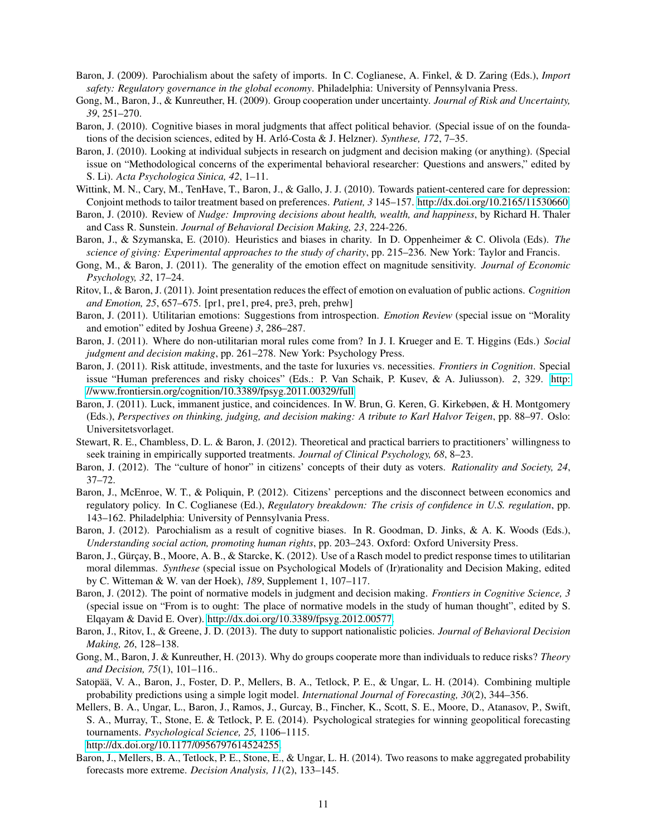- Baron, J. (2009). Parochialism about the safety of imports. In C. Coglianese, A. Finkel, & D. Zaring (Eds.), *Import safety: Regulatory governance in the global economy*. Philadelphia: University of Pennsylvania Press.
- Gong, M., Baron, J., & Kunreuther, H. (2009). Group cooperation under uncertainty. *Journal of Risk and Uncertainty, 39*, 251–270.
- Baron, J. (2010). Cognitive biases in moral judgments that affect political behavior. (Special issue of on the foundations of the decision sciences, edited by H. Arló-Costa & J. Helzner). *Synthese, 172*, 7–35.
- Baron, J. (2010). Looking at individual subjects in research on judgment and decision making (or anything). (Special issue on "Methodological concerns of the experimental behavioral researcher: Questions and answers," edited by S. Li). *Acta Psychologica Sinica, 42*, 1–11.
- Wittink, M. N., Cary, M., TenHave, T., Baron, J., & Gallo, J. J. (2010). Towards patient-centered care for depression: Conjoint methods to tailor treatment based on preferences. *Patient, 3* 145–157. [http://dx.doi.org/10.2165/11530660.](http://dx.doi.org/10.2165/11530660)
- Baron, J. (2010). Review of *Nudge: Improving decisions about health, wealth, and happiness*, by Richard H. Thaler and Cass R. Sunstein. *Journal of Behavioral Decision Making, 23*, 224-226.
- Baron, J., & Szymanska, E. (2010). Heuristics and biases in charity. In D. Oppenheimer & C. Olivola (Eds). *The science of giving: Experimental approaches to the study of charity*, pp. 215–236. New York: Taylor and Francis.
- Gong, M., & Baron, J. (2011). The generality of the emotion effect on magnitude sensitivity. *Journal of Economic Psychology, 32*, 17–24.
- Ritov, I., & Baron, J. (2011). Joint presentation reduces the effect of emotion on evaluation of public actions. *Cognition and Emotion, 25*, 657–675. [pr1, pre1, pre4, pre3, preh, prehw]
- Baron, J. (2011). Utilitarian emotions: Suggestions from introspection. *Emotion Review* (special issue on "Morality and emotion" edited by Joshua Greene) *3*, 286–287.
- Baron, J. (2011). Where do non-utilitarian moral rules come from? In J. I. Krueger and E. T. Higgins (Eds.) *Social judgment and decision making*, pp. 261–278. New York: Psychology Press.
- Baron, J. (2011). Risk attitude, investments, and the taste for luxuries vs. necessities. *Frontiers in Cognition*. Special issue "Human preferences and risky choices" (Eds.: P. Van Schaik, P. Kusev, & A. Juliusson). *2*, 329. [http:](http://www.frontiersin.org/cognition/10.3389/fpsyg.2011.00329/full) [//www.frontiersin.org/cognition/10.3389/fpsyg.2011.00329/full](http://www.frontiersin.org/cognition/10.3389/fpsyg.2011.00329/full)
- Baron, J. (2011). Luck, immanent justice, and coincidences. In W. Brun, G. Keren, G. Kirkebøen, & H. Montgomery (Eds.), *Perspectives on thinking, judging, and decision making: A tribute to Karl Halvor Teigen*, pp. 88–97. Oslo: Universitetsvorlaget.
- Stewart, R. E., Chambless, D. L. & Baron, J. (2012). Theoretical and practical barriers to practitioners' willingness to seek training in empirically supported treatments. *Journal of Clinical Psychology, 68*, 8–23.
- Baron, J. (2012). The "culture of honor" in citizens' concepts of their duty as voters. *Rationality and Society, 24*, 37–72.
- Baron, J., McEnroe, W. T., & Poliquin, P. (2012). Citizens' perceptions and the disconnect between economics and regulatory policy. In C. Coglianese (Ed.), *Regulatory breakdown: The crisis of confidence in U.S. regulation*, pp. 143–162. Philadelphia: University of Pennsylvania Press.
- Baron, J. (2012). Parochialism as a result of cognitive biases. In R. Goodman, D. Jinks, & A. K. Woods (Eds.), *Understanding social action, promoting human rights*, pp. 203–243. Oxford: Oxford University Press.
- Baron, J., Gürçay, B., Moore, A. B., & Starcke, K. (2012). Use of a Rasch model to predict response times to utilitarian moral dilemmas. *Synthese* (special issue on Psychological Models of (Ir)rationality and Decision Making, edited by C. Witteman & W. van der Hoek), *189*, Supplement 1, 107–117.
- Baron, J. (2012). The point of normative models in judgment and decision making. *Frontiers in Cognitive Science, 3* (special issue on "From is to ought: The place of normative models in the study of human thought", edited by S. Elqayam & David E. Over). [http://dx.doi.org/10.3389/fpsyg.2012.00577.](http://dx.doi.org/10.3389/fpsyg.2012.00577)
- Baron, J., Ritov, I., & Greene, J. D. (2013). The duty to support nationalistic policies. *Journal of Behavioral Decision Making, 26*, 128–138.
- Gong, M., Baron, J. & Kunreuther, H. (2013). Why do groups cooperate more than individuals to reduce risks? *Theory and Decision, 75*(1), 101–116..
- Satopää, V. A., Baron, J., Foster, D. P., Mellers, B. A., Tetlock, P. E., & Ungar, L. H. (2014). Combining multiple probability predictions using a simple logit model. *International Journal of Forecasting, 30*(2), 344–356.
- Mellers, B. A., Ungar, L., Baron, J., Ramos, J., Gurcay, B., Fincher, K., Scott, S. E., Moore, D., Atanasov, P., Swift, S. A., Murray, T., Stone, E. & Tetlock, P. E. (2014). Psychological strategies for winning geopolitical forecasting tournaments. *Psychological Science, 25,* 1106–1115. [http://dx.doi.org/10.1177/0956797614524255.](http://dx.doi.org/10.1177/0956797614524255)
- Baron, J., Mellers, B. A., Tetlock, P. E., Stone, E., & Ungar, L. H. (2014). Two reasons to make aggregated probability forecasts more extreme. *Decision Analysis, 11*(2), 133–145.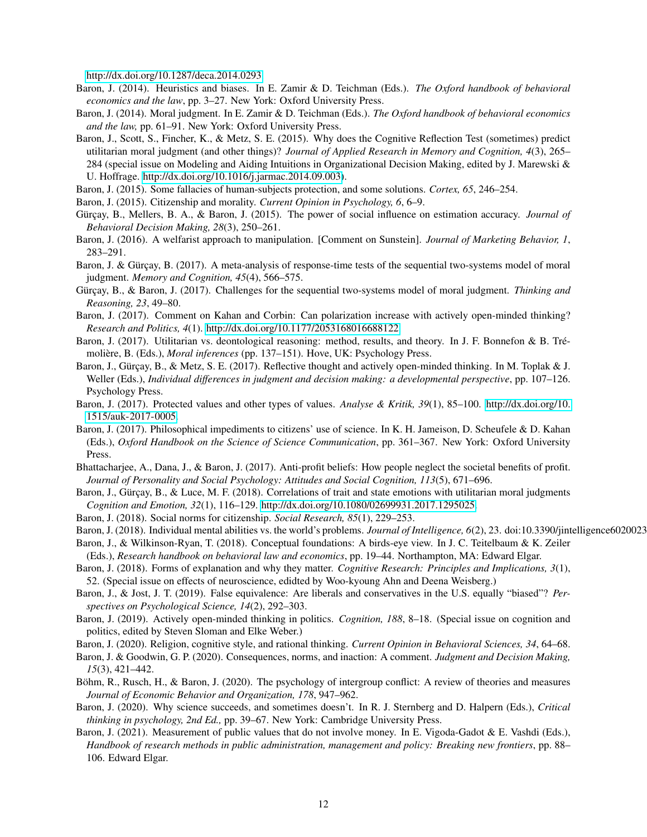[http://dx.doi.org/10.1287/deca.2014.0293.](http://dx.doi.org/10.1287/deca.2014.0293)

- Baron, J. (2014). Heuristics and biases. In E. Zamir & D. Teichman (Eds.). *The Oxford handbook of behavioral economics and the law*, pp. 3–27. New York: Oxford University Press.
- Baron, J. (2014). Moral judgment. In E. Zamir & D. Teichman (Eds.). *The Oxford handbook of behavioral economics and the law,* pp. 61–91. New York: Oxford University Press.
- Baron, J., Scott, S., Fincher, K., & Metz, S. E. (2015). Why does the Cognitive Reflection Test (sometimes) predict utilitarian moral judgment (and other things)? *Journal of Applied Research in Memory and Cognition, 4*(3), 265– 284 (special issue on Modeling and Aiding Intuitions in Organizational Decision Making, edited by J. Marewski & U. Hoffrage. [http://dx.doi.org/10.1016/j.jarmac.2014.09.003\)](http://dx.doi.org/10.1016/j.jarmac.2014.09.003).
- Baron, J. (2015). Some fallacies of human-subjects protection, and some solutions. *Cortex, 65*, 246–254.
- Baron, J. (2015). Citizenship and morality. *Current Opinion in Psychology, 6*, 6–9.
- Gürçay, B., Mellers, B. A., & Baron, J. (2015). The power of social influence on estimation accuracy. *Journal of Behavioral Decision Making, 28*(3), 250–261.
- Baron, J. (2016). A welfarist approach to manipulation. [Comment on Sunstein]. *Journal of Marketing Behavior, 1*, 283–291.
- Baron, J. & Gürçay, B. (2017). A meta-analysis of response-time tests of the sequential two-systems model of moral judgment. *Memory and Cognition, 45*(4), 566–575.
- Gürçay, B., & Baron, J. (2017). Challenges for the sequential two-systems model of moral judgment. *Thinking and Reasoning, 23*, 49–80.
- Baron, J. (2017). Comment on Kahan and Corbin: Can polarization increase with actively open-minded thinking? *Research and Politics, 4*(1). [http://dx.doi.org/10.1177/2053168016688122.](http://dx.doi.org/10.1177/2053168016688122)
- Baron, J. (2017). Utilitarian vs. deontological reasoning: method, results, and theory. In J. F. Bonnefon & B. Trémolière, B. (Eds.), *Moral inferences* (pp. 137–151). Hove, UK: Psychology Press.
- Baron, J., Gürçay, B., & Metz, S. E. (2017). Reflective thought and actively open-minded thinking. In M. Toplak & J. Weller (Eds.), *Individual differences in judgment and decision making: a developmental perspective*, pp. 107–126. Psychology Press.
- Baron, J. (2017). Protected values and other types of values. *Analyse & Kritik, 39*(1), 85–100. [http://dx.doi.org/10.](http://dx.doi.org/10.1515/auk-2017-0005) [1515/auk-2017-0005.](http://dx.doi.org/10.1515/auk-2017-0005)
- Baron, J. (2017). Philosophical impediments to citizens' use of science. In K. H. Jameison, D. Scheufele & D. Kahan (Eds.), *Oxford Handbook on the Science of Science Communication*, pp. 361–367. New York: Oxford University Press.
- Bhattacharjee, A., Dana, J., & Baron, J. (2017). Anti-profit beliefs: How people neglect the societal benefits of profit. *Journal of Personality and Social Psychology: Attitudes and Social Cognition, 113*(5), 671–696.
- Baron, J., Gürçay, B., & Luce, M. F. (2018). Correlations of trait and state emotions with utilitarian moral judgments *Cognition and Emotion, 32*(1), 116–129. [http://dx.doi.org/10.1080/02699931.2017.1295025.](http://dx.doi.org/10.1080/02699931.2017.1295025)
- Baron, J. (2018). Social norms for citizenship. *Social Research, 85*(1), 229–253.
- Baron, J. (2018). Individual mental abilities vs. the world's problems. *Journal of Intelligence, 6*(2), 23. doi:10.3390/jintelligence6020023
- Baron, J., & Wilkinson-Ryan, T. (2018). Conceptual foundations: A birds-eye view. In J. C. Teitelbaum & K. Zeiler (Eds.), *Research handbook on behavioral law and economics*, pp. 19–44. Northampton, MA: Edward Elgar.
- Baron, J. (2018). Forms of explanation and why they matter. *Cognitive Research: Principles and Implications, 3*(1), 52. (Special issue on effects of neuroscience, edidted by Woo-kyoung Ahn and Deena Weisberg.)
- Baron, J., & Jost, J. T. (2019). False equivalence: Are liberals and conservatives in the U.S. equally "biased"? *Perspectives on Psychological Science, 14*(2), 292–303.
- Baron, J. (2019). Actively open-minded thinking in politics. *Cognition, 188*, 8–18. (Special issue on cognition and politics, edited by Steven Sloman and Elke Weber.)
- Baron, J. (2020). Religion, cognitive style, and rational thinking. *Current Opinion in Behavioral Sciences, 34*, 64–68.
- Baron, J. & Goodwin, G. P. (2020). Consequences, norms, and inaction: A comment. *Judgment and Decision Making, 15*(3), 421–442.
- Böhm, R., Rusch, H., & Baron, J. (2020). The psychology of intergroup conflict: A review of theories and measures *Journal of Economic Behavior and Organization, 178*, 947–962.
- Baron, J. (2020). Why science succeeds, and sometimes doesn't. In R. J. Sternberg and D. Halpern (Eds.), *Critical thinking in psychology, 2nd Ed.,* pp. 39–67. New York: Cambridge University Press.
- Baron, J. (2021). Measurement of public values that do not involve money. In E. Vigoda-Gadot & E. Vashdi (Eds.), *Handbook of research methods in public administration, management and policy: Breaking new frontiers*, pp. 88– 106. Edward Elgar.